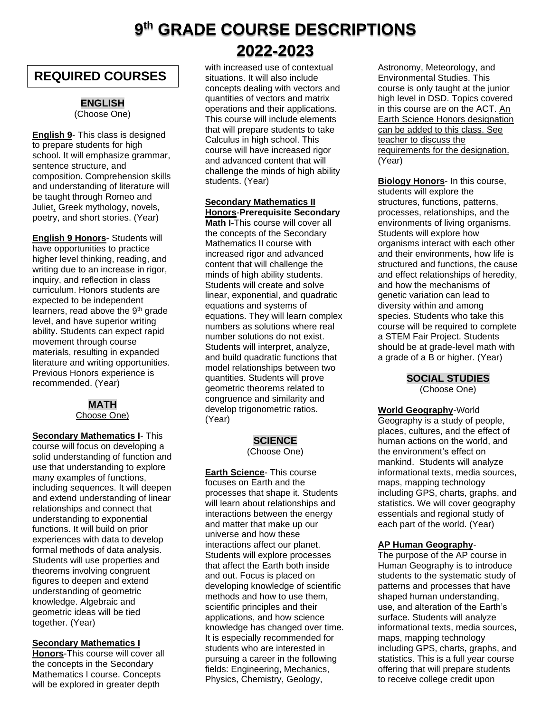# **9 th GRADE COURSE DESCRIPTIONS 2022-2023**

# **REQUIRED COURSES**

# **ENGLISH**

(Choose One)

**English 9**- This class is designed to prepare students for high school. It will emphasize grammar, sentence structure, and composition. Comprehension skills and understanding of literature will be taught through Romeo and Juliet, Greek mythology, novels, poetry, and short stories. (Year)

**English 9 Honors**- Students will have opportunities to practice higher level thinking, reading, and writing due to an increase in rigor, inquiry, and reflection in class curriculum. Honors students are expected to be independent learners, read above the 9<sup>th</sup> grade level, and have superior writing ability. Students can expect rapid movement through course materials, resulting in expanded literature and writing opportunities. Previous Honors experience is recommended. (Year)

# **MATH**

Choose One)

**Secondary Mathematics I**- This course will focus on developing a solid understanding of function and use that understanding to explore many examples of functions, including sequences. It will deepen and extend understanding of linear relationships and connect that understanding to exponential functions. It will build on prior experiences with data to develop formal methods of data analysis. Students will use properties and theorems involving congruent figures to deepen and extend understanding of geometric knowledge. Algebraic and geometric ideas will be tied together. (Year)

# **Secondary Mathematics I**

**Honors**-This course will cover all the concepts in the Secondary Mathematics I course. Concepts will be explored in greater depth

with increased use of contextual situations. It will also include concepts dealing with vectors and quantities of vectors and matrix operations and their applications. This course will include elements that will prepare students to take Calculus in high school. This course will have increased rigor and advanced content that will challenge the minds of high ability students. (Year)

**Secondary Mathematics II Honors**-**Prerequisite Secondary Math I-**This course will cover all the concepts of the Secondary Mathematics II course with increased rigor and advanced content that will challenge the minds of high ability students. Students will create and solve linear, exponential, and quadratic equations and systems of equations. They will learn complex numbers as solutions where real number solutions do not exist. Students will interpret, analyze, and build quadratic functions that model relationships between two quantities. Students will prove geometric theorems related to congruence and similarity and develop trigonometric ratios. (Year)

# **SCIENCE**

(Choose One)

**Earth Science**- This course focuses on Earth and the processes that shape it. Students will learn about relationships and interactions between the energy and matter that make up our universe and how these interactions affect our planet. Students will explore processes that affect the Earth both inside and out. Focus is placed on developing knowledge of scientific methods and how to use them, scientific principles and their applications, and how science knowledge has changed over time. It is especially recommended for students who are interested in pursuing a career in the following fields: Engineering, Mechanics, Physics, Chemistry, Geology,

Astronomy, Meteorology, and Environmental Studies. This course is only taught at the junior high level in DSD. Topics covered in this course are on the ACT. An Earth Science Honors designation can be added to this class. See teacher to discuss the requirements for the designation. (Year)

**Biology Honors**- In this course, students will explore the structures, functions, patterns, processes, relationships, and the environments of living organisms. Students will explore how organisms interact with each other and their environments, how life is structured and functions, the cause and effect relationships of heredity, and how the mechanisms of genetic variation can lead to diversity within and among species. Students who take this course will be required to complete a STEM Fair Project. Students should be at grade-level math with a grade of a B or higher. (Year)

> **SOCIAL STUDIES** (Choose One)

**World Geography**-World Geography is a study of people, places, cultures, and the effect of human actions on the world, and the environment's effect on mankind. Students will analyze informational texts, media sources, maps, mapping technology including GPS, charts, graphs, and statistics. We will cover geography essentials and regional study of each part of the world. (Year)

# **AP Human Geography**-

The purpose of the AP course in Human Geography is to introduce students to the systematic study of patterns and processes that have shaped human understanding, use, and alteration of the Earth's surface. Students will analyze informational texts, media sources, maps, mapping technology including GPS, charts, graphs, and statistics. This is a full year course offering that will prepare students to receive college credit upon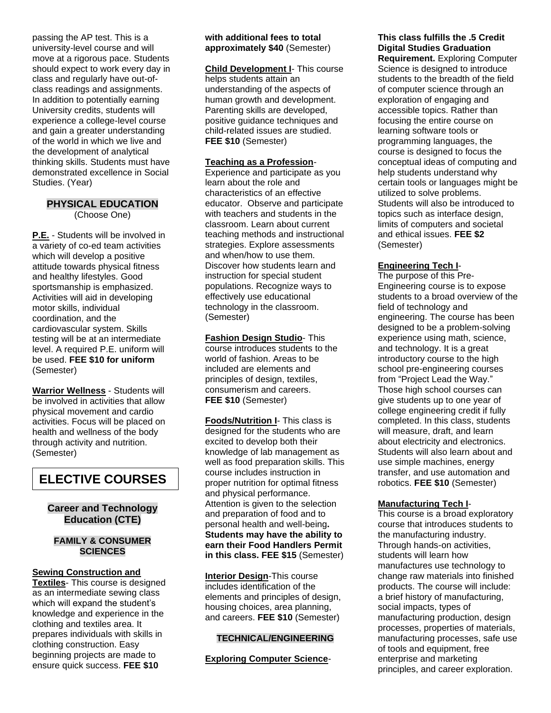passing the AP test. This is a university-level course and will move at a rigorous pace. Students should expect to work every day in class and regularly have out-ofclass readings and assignments. In addition to potentially earning University credits, students will experience a college-level course and gain a greater understanding of the world in which we live and the development of analytical thinking skills. Students must have demonstrated excellence in Social Studies. (Year)

# **PHYSICAL EDUCATION**

(Choose One)

**P.E.** - Students will be involved in a variety of co-ed team activities which will develop a positive attitude towards physical fitness and healthy lifestyles. Good sportsmanship is emphasized. Activities will aid in developing motor skills, individual coordination, and the cardiovascular system. Skills testing will be at an intermediate level. A required P.E. uniform will be used. **FEE \$10 for uniform**  (Semester)

**Warrior Wellness** - Students will be involved in activities that allow physical movement and cardio activities. Focus will be placed on health and wellness of the body through activity and nutrition. (Semester)

# **ELECTIVE COURSES**

# **Career and Technology Education (CTE)**

### **FAMILY & CONSUMER SCIENCES**

**Sewing Construction and Textiles**- This course is designed as an intermediate sewing class which will expand the student's knowledge and experience in the clothing and textiles area. It prepares individuals with skills in clothing construction. Easy beginning projects are made to ensure quick success. **FEE \$10** 

### **with additional fees to total approximately \$40** (Semester)

**Child Development I**- This course helps students attain an understanding of the aspects of human growth and development. Parenting skills are developed, positive guidance techniques and child-related issues are studied. **FEE \$10** (Semester)

### **Teaching as a Profession**-

Experience and participate as you learn about the role and characteristics of an effective educator. Observe and participate with teachers and students in the classroom. Learn about current teaching methods and instructional strategies. Explore assessments and when/how to use them. Discover how students learn and instruction for special student populations. Recognize ways to effectively use educational technology in the classroom. (Semester)

**Fashion Design Studio**- This course introduces students to the world of fashion. Areas to be included are elements and principles of design, textiles, consumerism and careers. **FEE \$10** (Semester)

**Foods/Nutrition I**- This class is designed for the students who are excited to develop both their knowledge of lab management as well as food preparation skills. This course includes instruction in proper nutrition for optimal fitness and physical performance. Attention is given to the selection and preparation of food and to personal health and well-being**. Students may have the ability to earn their Food Handlers Permit in this class. FEE \$15** (Semester)

**Interior Design**-This course includes identification of the elements and principles of design, housing choices, area planning, and careers. **FEE \$10** (Semester)

### **TECHNICAL/ENGINEERING**

### **Exploring Computer Science**-

**This class fulfills the .5 Credit Digital Studies Graduation Requirement.** Exploring Computer Science is designed to introduce students to the breadth of the field of computer science through an exploration of engaging and accessible topics. Rather than focusing the entire course on learning software tools or programming languages, the course is designed to focus the conceptual ideas of computing and help students understand why certain tools or languages might be utilized to solve problems. Students will also be introduced to

topics such as interface design, limits of computers and societal and ethical issues. **FEE \$2**  (Semester)

# **Engineering Tech I**-

The purpose of this Pre-Engineering course is to expose students to a broad overview of the field of technology and engineering. The course has been designed to be a problem-solving experience using math, science, and technology. It is a great introductory course to the high school pre-engineering courses from "Project Lead the Way." Those high school courses can give students up to one year of college engineering credit if fully completed. In this class, students will measure, draft, and learn about electricity and electronics. Students will also learn about and use simple machines, energy transfer, and use automation and robotics. **FEE \$10** (Semester)

### **Manufacturing Tech I**-

This course is a broad exploratory course that introduces students to the manufacturing industry. Through hands-on activities, students will learn how manufactures use technology to change raw materials into finished products. The course will include: a brief history of manufacturing, social impacts, types of manufacturing production, design processes, properties of materials, manufacturing processes, safe use of tools and equipment, free enterprise and marketing principles, and career exploration.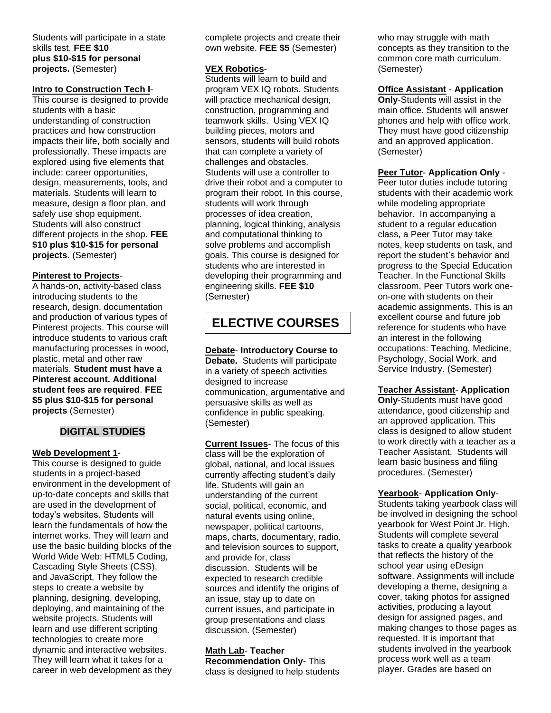### Students will participate in a state skills test. **FEE \$10 plus \$10-\$15 for personal projects.** (Semester)

### **Intro to Construction Tech I**-

This course is designed to provide students with a basic understanding of construction practices and how construction impacts their life, both socially and professionally. These impacts are explored using five elements that include: career opportunities, design, measurements, tools, and materials. Students will learn to measure, design a floor plan, and safely use shop equipment. Students will also construct different projects in the shop. **FEE \$10 plus \$10-\$15 for personal projects.** (Semester)

### **Pinterest to Projects**-

A hands-on, activity-based class introducing students to the research, design, documentation and production of various types of Pinterest projects. This course will introduce students to various craft manufacturing processes in wood, plastic, metal and other raw materials. **Student must have a Pinterest account. Additional student fees are required**. **FEE \$5 plus \$10-\$15 for personal projects** (Semester)

# **DIGITAL STUDIES**

### **Web Development 1**-

This course is designed to guide students in a project-based environment in the development of up-to-date concepts and skills that are used in the development of today's websites. Students will learn the fundamentals of how the internet works. They will learn and use the basic building blocks of the World Wide Web: HTML5 Coding, Cascading Style Sheets (CSS), and JavaScript. They follow the steps to create a website by planning, designing, developing, deploying, and maintaining of the website projects. Students will learn and use different scripting technologies to create more dynamic and interactive websites. They will learn what it takes for a career in web development as they

complete projects and create their own website. **FEE \$5** (Semester)

### **VEX Robotics**-

Students will learn to build and program VEX IQ robots. Students will practice mechanical design, construction, programming and teamwork skills. Using VEX IQ building pieces, motors and sensors, students will build robots that can complete a variety of challenges and obstacles. Students will use a controller to drive their robot and a computer to program their robot. In this course, students will work through processes of idea creation, planning, logical thinking, analysis and computational thinking to solve problems and accomplish goals. This course is designed for students who are interested in developing their programming and engineering skills. **FEE \$10**  (Semester)

# **ELECTIVE COURSES**

**Debate**- **Introductory Course to Debate.** Students will participate in a variety of speech activities designed to increase communication, argumentative and persuasive skills as well as confidence in public speaking. (Semester)

**Current Issues**- The focus of this class will be the exploration of global, national, and local issues currently affecting student's daily life. Students will gain an understanding of the current social, political, economic, and natural events using online, newspaper, political cartoons, maps, charts, documentary, radio, and television sources to support, and provide for, class discussion. Students will be expected to research credible sources and identify the origins of an issue, stay up to date on current issues, and participate in group presentations and class discussion. (Semester)

# **Math Lab**- **Teacher**

**Recommendation Only**- This class is designed to help students who may struggle with math concepts as they transition to the common core math curriculum. (Semester)

### **Office Assistant** - **Application**

**Only**-Students will assist in the main office. Students will answer phones and help with office work. They must have good citizenship and an approved application. (Semester)

#### **Peer Tutor**- **Application Only** -

Peer tutor duties include tutoring students with their academic work while modeling appropriate behavior. In accompanying a student to a regular education class, a Peer Tutor may take notes, keep students on task, and report the student's behavior and progress to the Special Education Teacher. In the Functional Skills classroom, Peer Tutors work oneon-one with students on their academic assignments. This is an excellent course and future job reference for students who have an interest in the following occupations: Teaching, Medicine, Psychology, Social Work, and Service Industry. (Semester)

#### **Teacher Assistant**- **Application**

**Only**-Students must have good attendance, good citizenship and an approved application. This class is designed to allow student to work directly with a teacher as a Teacher Assistant. Students will learn basic business and filing procedures. (Semester)

#### **Yearbook**- **Application Only**-

Students taking yearbook class will be involved in designing the school yearbook for West Point Jr. High. Students will complete several tasks to create a quality yearbook that reflects the history of the school year using eDesign software. Assignments will include developing a theme, designing a cover, taking photos for assigned activities, producing a layout design for assigned pages, and making changes to those pages as requested. It is important that students involved in the yearbook process work well as a team player. Grades are based on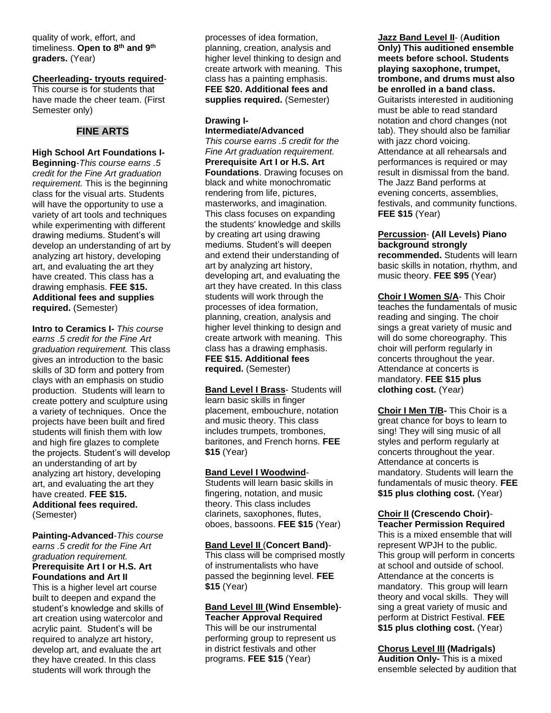quality of work, effort, and timeliness. **Open to 8th and 9th graders.** (Year)

# **Cheerleading- tryouts required**-

This course is for students that have made the cheer team. (First Semester only)

### **FINE ARTS**

### **High School Art Foundations I-Beginning**-*This course earns .5 credit for the Fine Art graduation requirement.* This is the beginning class for the visual arts. Students will have the opportunity to use a variety of art tools and techniques while experimenting with different drawing mediums. Student's will develop an understanding of art by analyzing art history, developing art, and evaluating the art they have created. This class has a drawing emphasis. **FEE \$15. Additional fees and supplies required.** (Semester)

**Intro to Ceramics I-** *This course earns .5 credit for the Fine Art graduation requirement.* This class gives an introduction to the basic skills of 3D form and pottery from clays with an emphasis on studio production. Students will learn to create pottery and sculpture using a variety of techniques. Once the projects have been built and fired students will finish them with low and high fire glazes to complete the projects. Student's will develop an understanding of art by analyzing art history, developing art, and evaluating the art they have created. **FEE \$15. Additional fees required.** (Semester)

**Painting-Advanced**-*This course earns .5 credit for the Fine Art graduation requirement.* **Prerequisite Art I or H.S. Art Foundations and Art II**

This is a higher level art course built to deepen and expand the student's knowledge and skills of art creation using watercolor and acrylic paint. Student's will be required to analyze art history, develop art, and evaluate the art they have created. In this class students will work through the

processes of idea formation, planning, creation, analysis and higher level thinking to design and create artwork with meaning. This class has a painting emphasis. **FEE \$20. Additional fees and supplies required.** (Semester)

# **Drawing I-**

**Intermediate/Advanced** *This course earns .5 credit for the Fine Art graduation requirement.* **Prerequisite Art I or H.S. Art Foundations**. Drawing focuses on black and white monochromatic rendering from life, pictures, masterworks, and imagination. This class focuses on expanding the students' knowledge and skills by creating art using drawing mediums. Student's will deepen and extend their understanding of art by analyzing art history, developing art, and evaluating the art they have created. In this class students will work through the processes of idea formation,

planning, creation, analysis and higher level thinking to design and create artwork with meaning. This class has a drawing emphasis. **FEE \$15. Additional fees required.** (Semester)

**Band Level I Brass**- Students will learn basic skills in finger placement, embouchure, notation and music theory. This class includes trumpets, trombones, baritones, and French horns. **FEE \$15** (Year)

### **Band Level I Woodwind**-

Students will learn basic skills in fingering, notation, and music theory. This class includes clarinets, saxophones, flutes, oboes, bassoons. **FEE \$15** (Year)

**Band Level II** (**Concert Band)**- This class will be comprised mostly of instrumentalists who have passed the beginning level. **FEE \$15** (Year)

### **Band Level III (Wind Ensemble)**- **Teacher Approval Required**

This will be our instrumental performing group to represent us in district festivals and other programs. **FEE \$15** (Year)

**Jazz Band Level II**- (**Audition Only) This auditioned ensemble meets before school. Students playing saxophone, trumpet, trombone, and drums must also be enrolled in a band class.** Guitarists interested in auditioning must be able to read standard notation and chord changes (not tab). They should also be familiar with jazz chord voicing. Attendance at all rehearsals and performances is required or may result in dismissal from the band. The Jazz Band performs at evening concerts, assemblies, festivals, and community functions. **FEE \$15** (Year)

**Percussion**- **(All Levels) Piano background strongly recommended.** Students will learn basic skills in notation, rhythm, and music theory. **FEE \$95** (Year)

**Choir I Women S/A**- This Choir teaches the fundamentals of music reading and singing. The choir sings a great variety of music and will do some choreography. This choir will perform regularly in concerts throughout the year. Attendance at concerts is mandatory. **FEE \$15 plus clothing cost.** (Year)

**Choir I Men T/B-** This Choir is a great chance for boys to learn to sing! They will sing music of all styles and perform regularly at concerts throughout the year. Attendance at concerts is mandatory. Students will learn the fundamentals of music theory. **FEE \$15 plus clothing cost.** (Year)

#### **Choir II (Crescendo Choir)**- **Teacher Permission Required**

This is a mixed ensemble that will represent WPJH to the public. This group will perform in concerts at school and outside of school. Attendance at the concerts is mandatory. This group will learn theory and vocal skills. They will sing a great variety of music and perform at District Festival. **FEE \$15 plus clothing cost.** (Year)

**Chorus Level III (Madrigals) Audition Only-** This is a mixed ensemble selected by audition that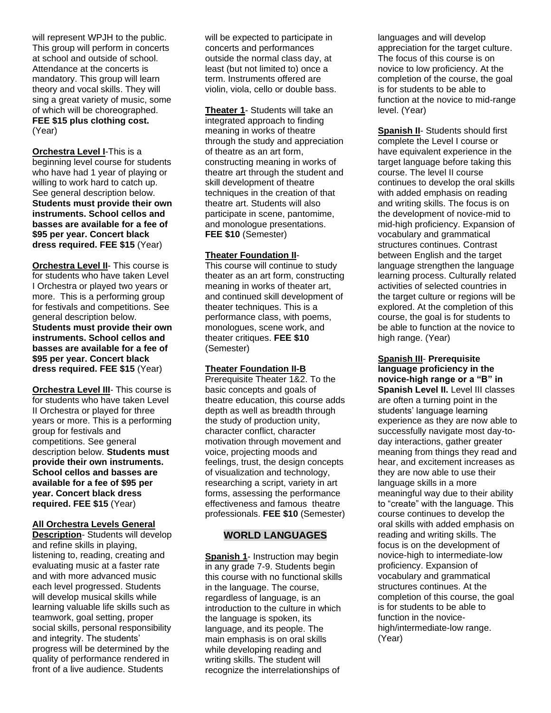will represent WPJH to the public. This group will perform in concerts at school and outside of school. Attendance at the concerts is mandatory. This group will learn theory and vocal skills. They will sing a great variety of music, some of which will be choreographed. **FEE \$15 plus clothing cost.** (Year)

**Orchestra Level I**-This is a beginning level course for students who have had 1 year of playing or willing to work hard to catch up. See general description below. **Students must provide their own instruments. School cellos and basses are available for a fee of \$95 per year. Concert black dress required. FEE \$15** (Year)

**Orchestra Level II**- This course is for students who have taken Level I Orchestra or played two years or more. This is a performing group for festivals and competitions. See general description below. **Students must provide their own instruments. School cellos and basses are available for a fee of \$95 per year. Concert black dress required. FEE \$15** (Year)

**Orchestra Level III**- This course is for students who have taken Level II Orchestra or played for three years or more. This is a performing group for festivals and competitions. See general description below. **Students must provide their own instruments. School cellos and basses are available for a fee of \$95 per year. Concert black dress required. FEE \$15** (Year)

### **All Orchestra Levels General**

**Description**- Students will develop and refine skills in playing, listening to, reading, creating and evaluating music at a faster rate and with more advanced music each level progressed. Students will develop musical skills while learning valuable life skills such as teamwork, goal setting, proper social skills, personal responsibility and integrity. The students' progress will be determined by the quality of performance rendered in front of a live audience. Students

will be expected to participate in concerts and performances outside the normal class day, at least (but not limited to) once a term. Instruments offered are violin, viola, cello or double bass.

**Theater 1**- Students will take an integrated approach to finding meaning in works of theatre through the study and appreciation of theatre as an art form, constructing meaning in works of theatre art through the student and skill development of theatre techniques in the creation of that theatre art. Students will also participate in scene, pantomime, and monologue presentations. **FEE \$10** (Semester)

### **Theater Foundation II**-

This course will continue to study theater as an art form, constructing meaning in works of theater art, and continued skill development of theater techniques. This is a performance class, with poems, monologues, scene work, and theater critiques. **FEE \$10**  (Semester)

### **Theater Foundation II-B**

Prerequisite Theater 1&2. To the basic concepts and goals of theatre education, this course adds depth as well as breadth through the study of production unity, character conflict, character motivation through movement and voice, projecting moods and feelings, trust, the design concepts of visualization and technology, researching a script, variety in art forms, assessing the performance effectiveness and famous theatre professionals. **FEE \$10** (Semester)

### **WORLD LANGUAGES**

**Spanish 1**- Instruction may begin in any grade 7-9. Students begin this course with no functional skills in the language. The course, regardless of language, is an introduction to the culture in which the language is spoken, its language, and its people. The main emphasis is on oral skills while developing reading and writing skills. The student will recognize the interrelationships of

languages and will develop appreciation for the target culture. The focus of this course is on novice to low proficiency. At the completion of the course, the goal is for students to be able to function at the novice to mid-range level. (Year)

**Spanish II**- Students should first complete the Level I course or have equivalent experience in the target language before taking this course. The level II course continues to develop the oral skills with added emphasis on reading and writing skills. The focus is on the development of novice-mid to mid-high proficiency. Expansion of vocabulary and grammatical structures continues. Contrast between English and the target language strengthen the language learning process. Culturally related activities of selected countries in the target culture or regions will be explored. At the completion of this course, the goal is for students to be able to function at the novice to high range. (Year)

**Spanish III**- **Prerequisite language proficiency in the novice-high range or a "B" in Spanish Level II.** Level III classes are often a turning point in the students' language learning experience as they are now able to successfully navigate most day-today interactions, gather greater meaning from things they read and hear, and excitement increases as they are now able to use their language skills in a more meaningful way due to their ability to "create" with the language. This course continues to develop the oral skills with added emphasis on reading and writing skills. The focus is on the development of novice-high to intermediate-low proficiency. Expansion of vocabulary and grammatical structures continues. At the completion of this course, the goal is for students to be able to function in the novicehigh/intermediate-low range. (Year)